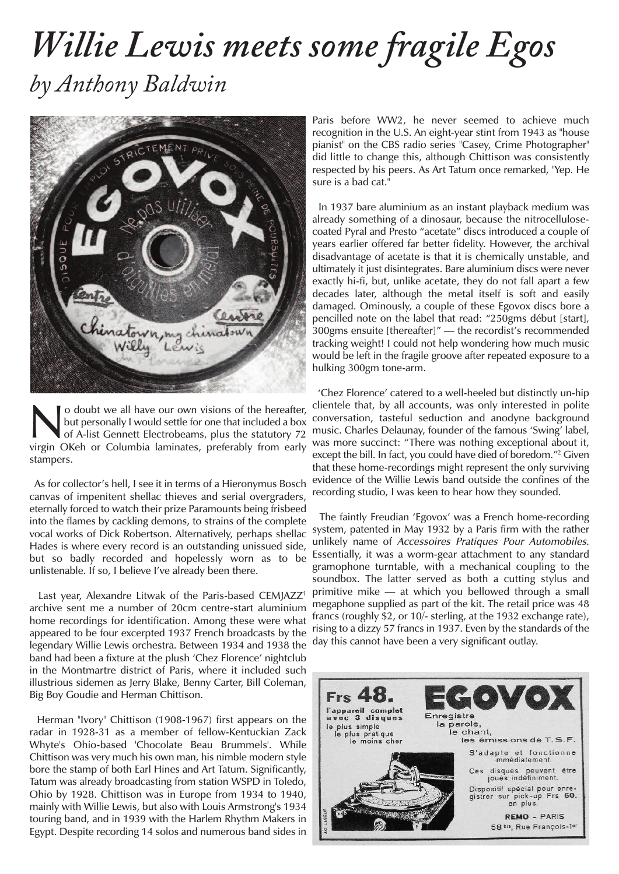## *Willie Lewis meets some fragile Egos by Anthony Baldwin*



**No doubt we all have our own visions of the hereafter,**<br>but personally I would settle for one that included a box<br>of A-list Gennett Electrobeams, plus the statutory 72<br>virgin OKeb or Columbia Jaminates, preferably from ea but personally I would settle for one that included a box virgin OKeh or Columbia laminates, preferably from early stampers.

As for collector's hell, I see it in terms of a Hieronymus Bosch canvas of impenitent shellac thieves and serial overgraders, eternally forced to watch their prize Paramounts being frisbeed into the flames by cackling demons, to strains of the complete vocal works of Dick Robertson. Alternatively, perhaps shellac Hades is where every record is an outstanding unissued side, but so badly recorded and hopelessly worn as to be unlistenable. If so, I believe I've already been there.

Last year, Alexandre Litwak of the Paris-based CEMJAZZ<sup>1</sup> archive sent me a number of 20cm centre-start aluminium home recordings for identification. Among these were what appeared to be four excerpted 1937 French broadcasts by the legendary Willie Lewis orchestra. Between 1934 and 1938 the band had been a fixture at the plush 'Chez Florence' nightclub in the Montmartre district of Paris, where it included such illustrious sidemen as Jerry Blake, Benny Carter, Bill Coleman, Big Boy Goudie and Herman Chittison.

Herman "Ivory" Chittison (1908-1967) first appears on the radar in 1928-31 as a member of fellow-Kentuckian Zack Whyte's Ohio-based 'Chocolate Beau Brummels'. While Chittison was very much his own man, his nimble modern style bore the stamp of both Earl Hines and Art Tatum. Significantly, Tatum was already broadcasting from station WSPD in Toledo, Ohio by 1928. Chittison was in Europe from 1934 to 1940, mainly with Willie Lewis, but also with Louis Armstrong's 1934 touring band, and in 1939 with the Harlem Rhythm Makers in Egypt. Despite recording 14 solos and numerous band sides in

Paris before WW2, he never seemed to achieve much recognition in the U.S. An eight-year stint from 1943 as "house pianist" on the CBS radio series "Casey, Crime Photographer" did little to change this, although Chittison was consistently respected by his peers. As Art Tatum once remarked, "Yep. He sure is a bad cat."

In 1937 bare aluminium as an instant playback medium was already something of a dinosaur, because the nitrocellulosecoated Pyral and Presto "acetate" discs introduced a couple of years earlier offered far better fidelity. However, the archival disadvantage of acetate is that it is chemically unstable, and ultimately it just disintegrates. Bare aluminium discs were never exactly hi-fi, but, unlike acetate, they do not fall apart a few decades later, although the metal itself is soft and easily damaged. Ominously, a couple of these Egovox discs bore a pencilled note on the label that read: "250gms début [start], 300gms ensuite [thereafter]" — the recordist's recommended tracking weight! I could not help wondering how much music would be left in the fragile groove after repeated exposure to a hulking 300gm tone-arm.

'Chez Florence' catered to a well-heeled but distinctly un-hip clientele that, by all accounts, was only interested in polite conversation, tasteful seduction and anodyne background music. Charles Delaunay, founder of the famous 'Swing' label, was more succinct: "There was nothing exceptional about it, except the bill. In fact, you could have died of boredom."2 Given that these home-recordings might represent the only surviving evidence of the Willie Lewis band outside the confines of the recording studio, I was keen to hear how they sounded.

The faintly Freudian 'Egovox' was a French home-recording system, patented in May 1932 by a Paris firm with the rather unlikely name of Accessoires Pratiques Pour Automobiles. Essentially, it was a worm-gear attachment to any standard gramophone turntable, with a mechanical coupling to the soundbox. The latter served as both a cutting stylus and primitive mike — at which you bellowed through a small megaphone supplied as part of the kit. The retail price was 48 francs (roughly \$2, or 10/- sterling, at the 1932 exchange rate), rising to a dizzy 57 francs in 1937. Even by the standards of the day this cannot have been a very significant outlay.

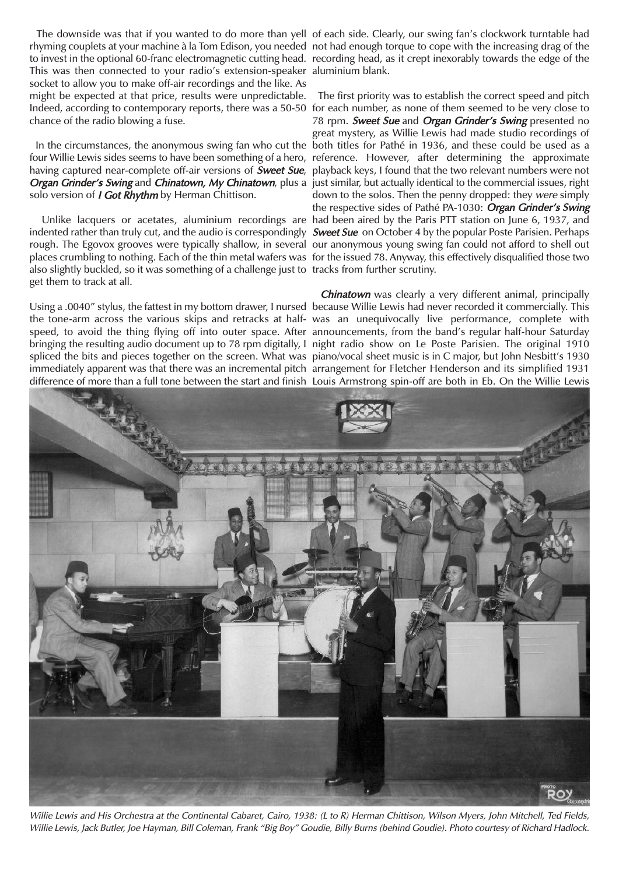rhyming couplets at your machine à la Tom Edison, you needed not had enough torque to cope with the increasing drag of the to invest in the optional 60-franc electromagnetic cutting head. recording head, as it crept inexorably towards the edge of the This was then connected to your radio's extension-speaker aluminium blank. socket to allow you to make off-air recordings and the like. As might be expected at that price, results were unpredictable. Indeed, according to contemporary reports, there was a 50-50 for each number, as none of them seemed to be very close to chance of the radio blowing a fuse.

In the circumstances, the anonymous swing fan who cut the four Willie Lewis sides seems to have been something of a hero, having captured near-complete off-air versions of **Sweet Sue**, solo version of *I Got Rhythm* by Herman Chittison.

indented rather than truly cut, and the audio is correspondingly *Sweet Sue* on October 4 by the popular Poste Parisien. Perhaps rough. The Egovox grooves were typically shallow, in several our anonymous young swing fan could not afford to shell out places crumbling to nothing. Each of the thin metal wafers was for the issued 78. Anyway, this effectively disqualified those two also slightly buckled, so it was something of a challenge just to tracks from further scrutiny. get them to track at all.

Using a .0040" stylus, the fattest in my bottom drawer, I nursed because Willie Lewis had never recorded it commercially. This the tone-arm across the various skips and retracks at half-was an unequivocally live performance, complete with speed, to avoid the thing flying off into outer space. After announcements, from the band's regular half-hour Saturday bringing the resulting audio document up to 78 rpm digitally, I night radio show on Le Poste Parisien. The original 1910 spliced the bits and pieces together on the screen. What was piano/vocal sheet music is in C major, but John Nesbitt's 1930 immediately apparent was that there was an incremental pitch arrangement for Fletcher Henderson and its simplified 1931

The downside was that if you wanted to do more than yell of each side. Clearly, our swing fan's clockwork turntable had

Organ Grinder's Swing and Chinatown, My Chinatown, plus a just similar, but actually identical to the commercial issues, right Unlike lacquers or acetates, aluminium recordings are had been aired by the Paris PTT station on June 6, 1937, and The first priority was to establish the correct speed and pitch 78 rpm. Sweet Sue and Organ Grinder's Swing presented no great mystery, as Willie Lewis had made studio recordings of both titles for Pathé in 1936, and these could be used as a reference. However, after determining the approximate playback keys, I found that the two relevant numbers were not down to the solos. Then the penny dropped: they were simply the respective sides of Pathé PA-1030: Organ Grinder's Swing

difference of more than a full tone between the start and finish Louis Armstrong spin-off are both in Eb. On the Willie Lewis Chinatown was clearly a very different animal, principally



Willie Lewis and His Orchestra at the Continental Cabaret, Cairo, 1938: (L to R) Herman Chittison, Wilson Myers, John Mitchell, Ted Fields, Willie Lewis, Jack Butler, Joe Hayman, Bill Coleman, Frank "Big Boy" Goudie, Billy Burns (behind Goudie). Photo courtesy of Richard Hadlock.